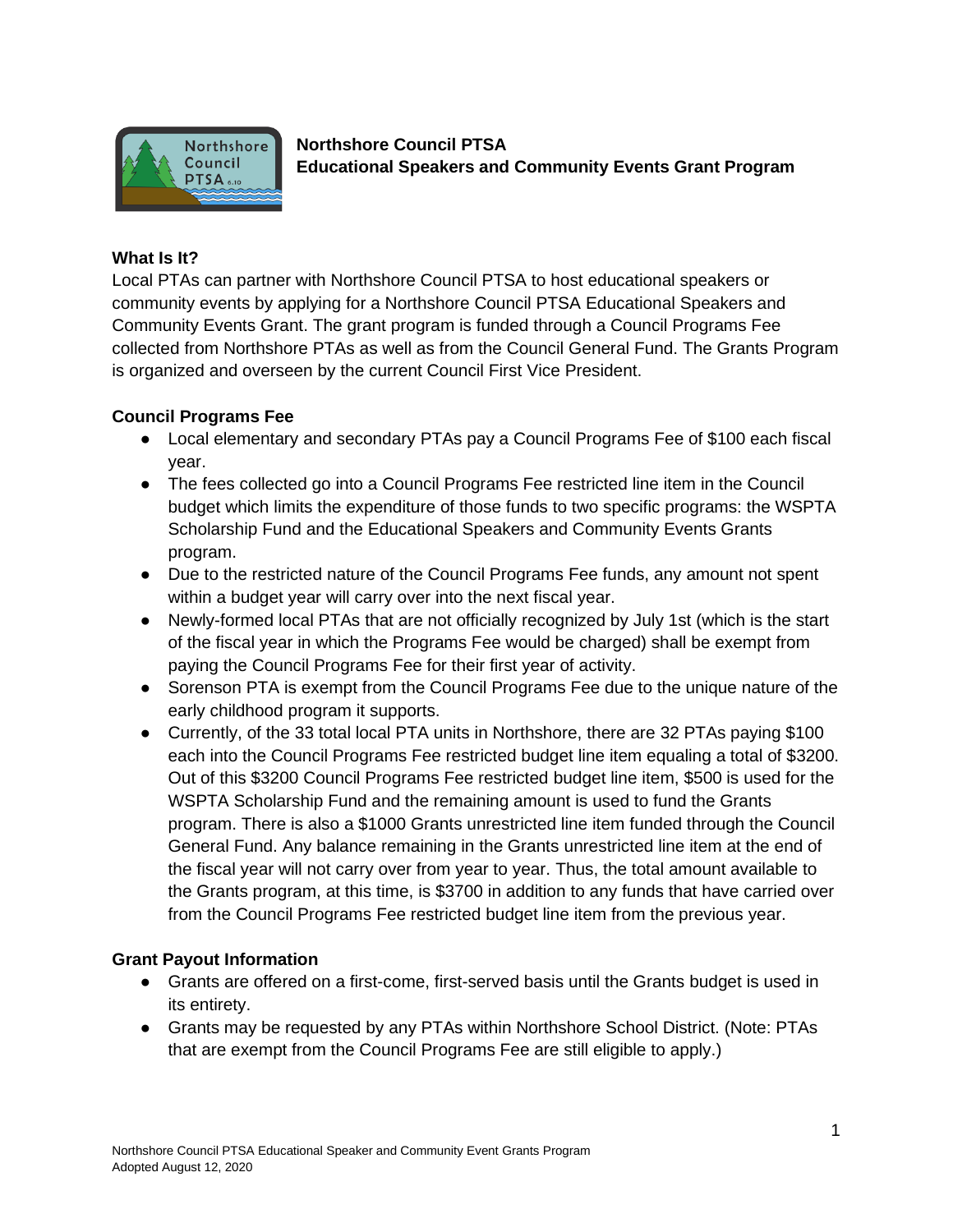

**Northshore Council PTSA Educational Speakers and Community Events Grant Program**

## **What Is It?**

Local PTAs can partner with Northshore Council PTSA to host educational speakers or community events by applying for a Northshore Council PTSA Educational Speakers and Community Events Grant. The grant program is funded through a Council Programs Fee collected from Northshore PTAs as well as from the Council General Fund. The Grants Program is organized and overseen by the current Council First Vice President.

### **Council Programs Fee**

- Local elementary and secondary PTAs pay a Council Programs Fee of \$100 each fiscal year.
- The fees collected go into a Council Programs Fee restricted line item in the Council budget which limits the expenditure of those funds to two specific programs: the WSPTA Scholarship Fund and the Educational Speakers and Community Events Grants program.
- Due to the restricted nature of the Council Programs Fee funds, any amount not spent within a budget year will carry over into the next fiscal year.
- Newly-formed local PTAs that are not officially recognized by July 1st (which is the start of the fiscal year in which the Programs Fee would be charged) shall be exempt from paying the Council Programs Fee for their first year of activity.
- Sorenson PTA is exempt from the Council Programs Fee due to the unique nature of the early childhood program it supports.
- Currently, of the 33 total local PTA units in Northshore, there are 32 PTAs paying \$100 each into the Council Programs Fee restricted budget line item equaling a total of \$3200. Out of this \$3200 Council Programs Fee restricted budget line item, \$500 is used for the WSPTA Scholarship Fund and the remaining amount is used to fund the Grants program. There is also a \$1000 Grants unrestricted line item funded through the Council General Fund. Any balance remaining in the Grants unrestricted line item at the end of the fiscal year will not carry over from year to year. Thus, the total amount available to the Grants program, at this time, is \$3700 in addition to any funds that have carried over from the Council Programs Fee restricted budget line item from the previous year.

### **Grant Payout Information**

- Grants are offered on a first-come, first-served basis until the Grants budget is used in its entirety.
- Grants may be requested by any PTAs within Northshore School District. (Note: PTAs that are exempt from the Council Programs Fee are still eligible to apply.)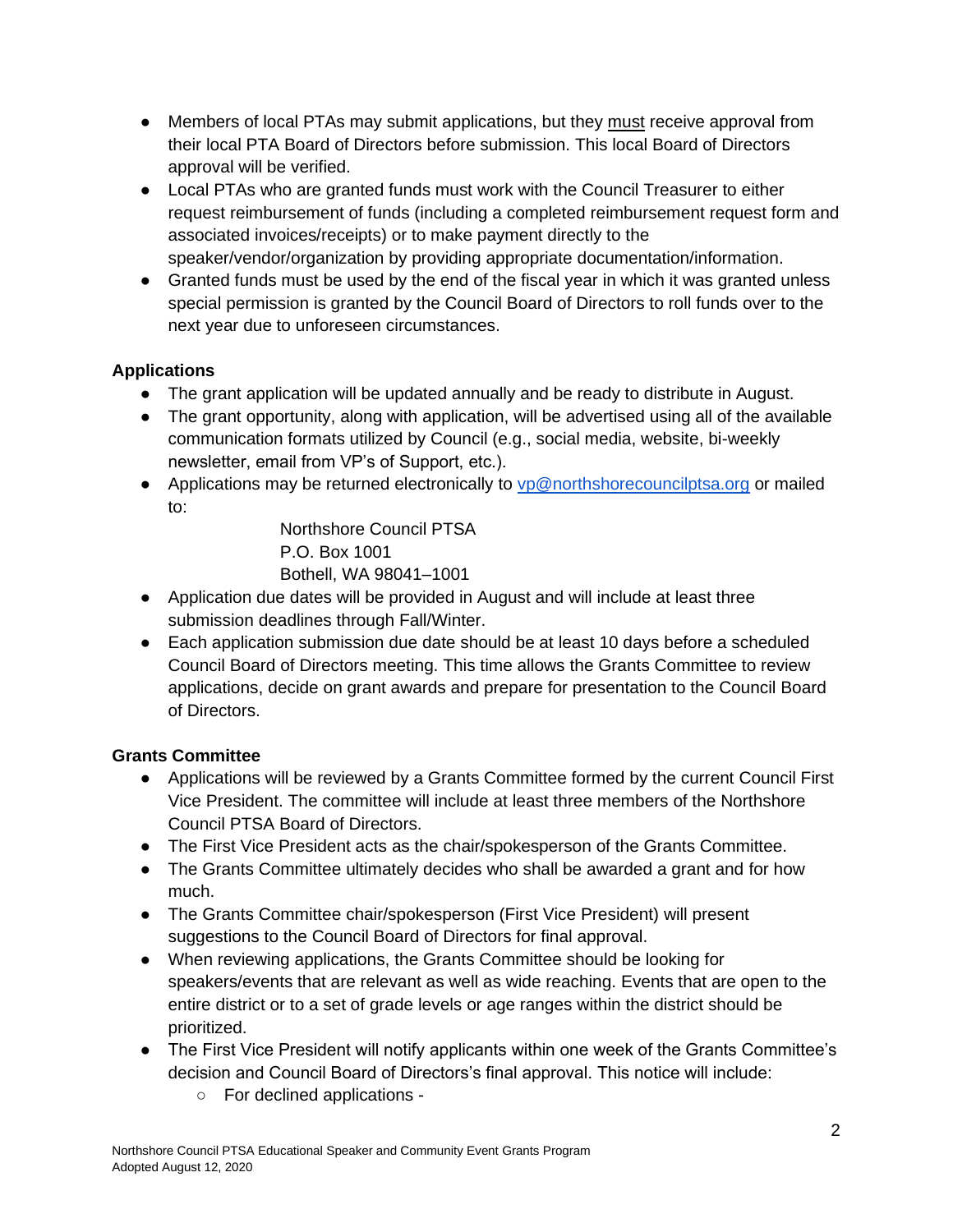- Members of local PTAs may submit applications, but they must receive approval from their local PTA Board of Directors before submission. This local Board of Directors approval will be verified.
- Local PTAs who are granted funds must work with the Council Treasurer to either request reimbursement of funds (including a completed reimbursement request form and associated invoices/receipts) or to make payment directly to the speaker/vendor/organization by providing appropriate documentation/information.
- Granted funds must be used by the end of the fiscal year in which it was granted unless special permission is granted by the Council Board of Directors to roll funds over to the next year due to unforeseen circumstances.

# **Applications**

- The grant application will be updated annually and be ready to distribute in August.
- The grant opportunity, along with application, will be advertised using all of the available communication formats utilized by Council (e.g., social media, website, bi-weekly newsletter, email from VP's of Support, etc.).
- Applications may be returned electronically to [vp@northshorecouncilptsa.org](mailto:vp@northshorecouncilptsa.org) or mailed to:

Northshore Council PTSA P.O. Box 1001 Bothell, WA 98041–1001

- Application due dates will be provided in August and will include at least three submission deadlines through Fall/Winter.
- Each application submission due date should be at least 10 days before a scheduled Council Board of Directors meeting. This time allows the Grants Committee to review applications, decide on grant awards and prepare for presentation to the Council Board of Directors.

# **Grants Committee**

- Applications will be reviewed by a Grants Committee formed by the current Council First Vice President. The committee will include at least three members of the Northshore Council PTSA Board of Directors.
- The First Vice President acts as the chair/spokesperson of the Grants Committee.
- The Grants Committee ultimately decides who shall be awarded a grant and for how much.
- The Grants Committee chair/spokesperson (First Vice President) will present suggestions to the Council Board of Directors for final approval.
- When reviewing applications, the Grants Committee should be looking for speakers/events that are relevant as well as wide reaching. Events that are open to the entire district or to a set of grade levels or age ranges within the district should be prioritized.
- The First Vice President will notify applicants within one week of the Grants Committee's decision and Council Board of Directors's final approval. This notice will include:
	- For declined applications -